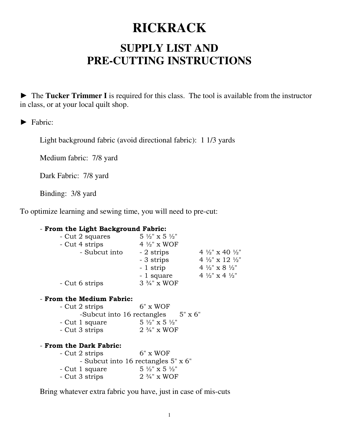# **RICKRACK**

## **SUPPLY LIST AND PRE-CUTTING INSTRUCTIONS**

► The **Tucker Trimmer I** is required for this class. The tool is available from the instructor in class, or at your local quilt shop.

### ► Fabric:

Light background fabric (avoid directional fabric): 1 1/3 yards

Medium fabric: 7/8 yard

Dark Fabric: 7/8 yard

Binding: 3/8 yard

To optimize learning and sewing time, you will need to pre-cut:

#### - **From the Light Background Fabric:**

| - Cut 2 squares | $5\frac{1}{2}$ " x 5 $\frac{1}{2}$ " |                                        |
|-----------------|--------------------------------------|----------------------------------------|
| - Cut 4 strips  | 4 $\frac{1}{2}$ " x WOF              |                                        |
| - Subcut into   | - 2 strips                           | 4 $\frac{1}{2}$ x 40 $\frac{1}{2}$     |
|                 | - 3 strips                           | 4 $\frac{1}{2}$ " x 12 $\frac{1}{2}$ " |
|                 | - 1 strip                            | 4 $\frac{1}{2}$ " x 8 $\frac{1}{2}$ "  |
|                 | - 1 square                           | 4 $\frac{1}{2}$ " x 4 $\frac{1}{2}$ "  |
| - Cut 6 strips  | $3\frac{3}{4}$ " x WOF               |                                        |

#### - **From the Medium Fabric:**

| - Cut 2 strips | $6" \times WOF$                      |                |
|----------------|--------------------------------------|----------------|
|                | -Subcut into 16 rectangles           | $5" \times 6"$ |
| - Cut 1 square | $5\frac{1}{2}$ " x 5 $\frac{1}{2}$ " |                |
| - Cut 3 strips | $2\frac{3}{4}$ " x WOF               |                |

#### - **From the Dark Fabric:**

| - Cut 2 strips | $6" \times WOF$                      |
|----------------|--------------------------------------|
|                | - Subcut into 16 rectangles 5" x 6"  |
| - Cut 1 square | $5\frac{1}{2}$ " x 5 $\frac{1}{2}$ " |
| - Cut 3 strips | $2\frac{3}{4}$ " x WOF               |

Bring whatever extra fabric you have, just in case of mis-cuts